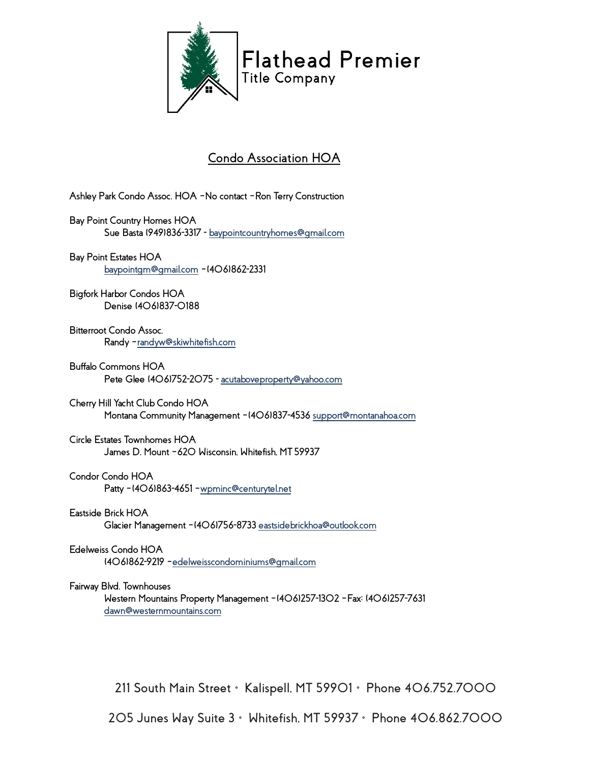

# **Condo Association HOA**

**Ashley Park Condo Assoc. HOA –No contact –Ron Terry Construction**

**Bay Point Country Homes HOA Sue Basta (949)836-3317 - [baypointcountryhomes@gmail.com](mailto:baypointcountryhomes@gmail.com)**

**Bay Point Estates HOA [baypointgm@gmail.com](mailto:baypointgm@gmail.com) –(406)862-2331**

**Bigfork Harbor Condos HOA Denise (406)837-0188**

**Bitterroot Condo Assoc. Randy [–randyw@skiwhitefish.com](mailto:randyw@skiwhitefish.com)**

**Buffalo Commons HOA Pete Glee (406)752-2075 - [acutaboveproperty@yahoo.com](mailto:acutaboveproperty@yahoo.com)**

**Cherry Hill Yacht Club Condo HOA Montana Community Management –(406)837-453[6 support@montanahoa.com](mailto:support@montanahoa.com)**

**Circle Estates Townhomes HOA James D. Mount –620 Wisconsin, Whitefish, MT 59937**

**Condor Condo HOA**

**Patty –(406)863-4651 [–wpminc@centurytel.net](mailto:wpminc@centurytel.net)**

**Eastside Brick HOA Glacier Management –(406)756-873[3 eastsidebrickhoa@outlook.com](mailto:eastsidebrickhoa@outlook.com)**

**Edelweiss Condo HOA (406)862-9219 [–edelweisscondominiums@gmail.com](mailto:edelweisscondominiums@gmail.com)**

**Fairway Blvd. Townhouses**

**Western Mountains Property Management –(406)257-1302 –Fax: (406)257-7631 [dawn@westernmountains.com](mailto:dawn@westernmountains.com)**

**211 South Main Street • Kalispell, MT 59901 • Phone 406.752.7000**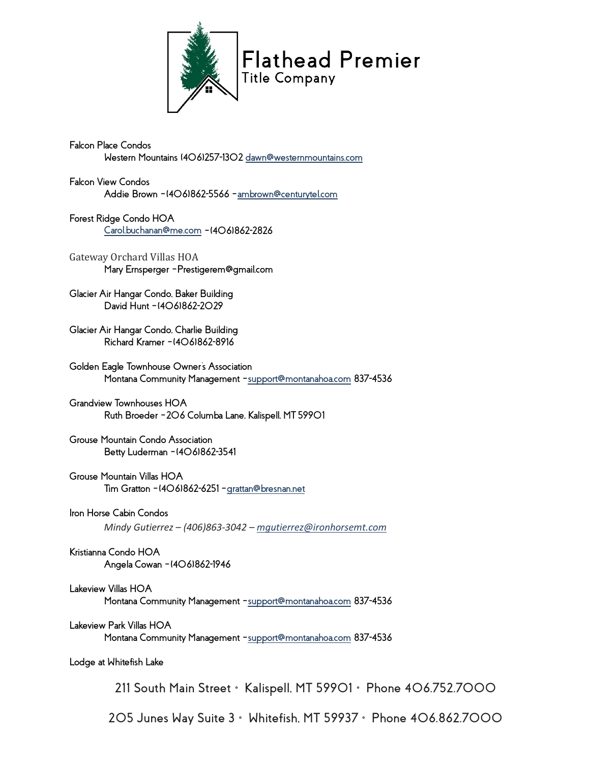

**Falcon Place Condos Western Mountains (406)257-130[2 dawn@westernmountains.com](mailto:dawn@westernmountains.com)** 

**Falcon View Condos Addie Brown –(406)862-5566 [–ambrown@centurytel.com](mailto:ambrown@centurytel.com)**

**Forest Ridge Condo HOA [Carol.buchanan@me.com](mailto:Carol.buchanan@me.com) –(406)862-2826**

Gateway Orchard Villas HOA **Mary Ernsperger –Prestigerem@gmail.com**

**Glacier Air Hangar Condo, Baker Building David Hunt –(406)862-2029**

**Glacier Air Hangar Condo, Charlie Building Richard Kramer –(406)862-8916**

**Golden Eagle Townhouse Owner's Association Montana Community Management [–support@montanahoa.com](mailto:support@montanahoa.com) 837-4536** 

**Grandview Townhouses HOA Ruth Broeder –206 Columba Lane, Kalispell, MT 59901**

**Grouse Mountain Condo Association Betty Luderman –(406)862-3541**

**Grouse Mountain Villas HOA Tim Gratton –(406)862-6251 [–grattan@bresnan.net](mailto:grattan@bresnan.net)**

**Iron Horse Cabin Condos** *Mindy Gutierrez – (406)863-3042 – [mgutierrez@ironhorsemt.com](mailto:mgutierrez@ironhorsemt.com)*

**Kristianna Condo HOA Angela Cowan –(406)862-1946**

**Lakeview Villas HOA Montana Community Management [–support@montanahoa.com](mailto:support@montanahoa.com) 837-4536**

**Lakeview Park Villas HOA Montana Community Management [–support@montanahoa.com](mailto:support@montanahoa.com) 837-4536**

**Lodge at Whitefish Lake**

**211 South Main Street • Kalispell, MT 59901 • Phone 406.752.7000**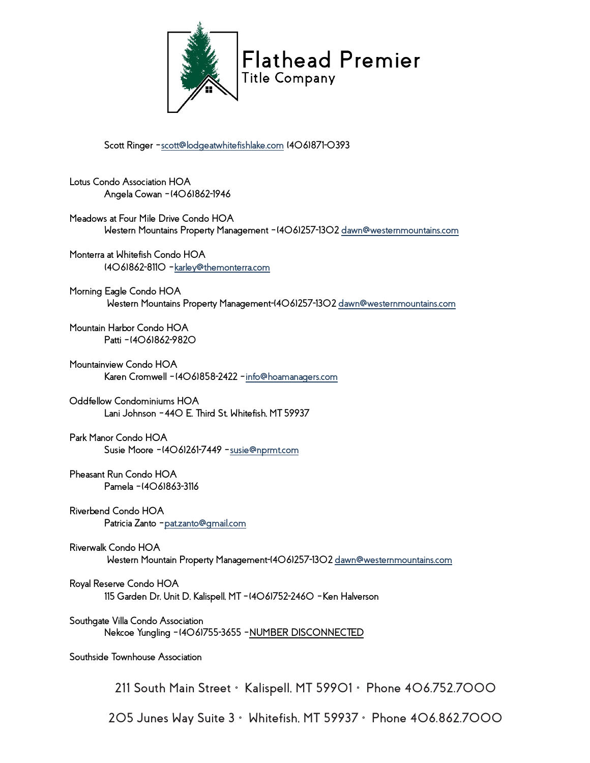

**Scott Ringer [–scott@lodgeatwhitefishlake.com](mailto:scott@lodgeatwhitefishlake.com) (406)871-0393**

**Lotus Condo Association HOA Angela Cowan –(406)862-1946** 

**Meadows at Four Mile Drive Condo HOA Western Mountains Property Management –(406)257-130[2 dawn@westernmountains.com](mailto:dawn@westernmountains.com)**

**Monterra at Whitefish Condo HOA (406)862-8110 [–karley@themonterra.com](mailto:karley@themonterra.com)**

**Morning Eagle Condo HOA Western Mountains Property Management-(406)257-130[2 dawn@westernmountains.com](mailto:dawn@westernmountains.com)**

**Mountain Harbor Condo HOA Patti –(406)862-9820**

**Mountainview Condo HOA Karen Cromwell –(406)858-2422 [–info@hoamanagers.com](mailto:info@hoamanagers.com)**

**Oddfellow Condominiums HOA Lani Johnson –440 E. Third St, Whitefish, MT 59937**

**Park Manor Condo HOA Susie Moore –(406)261-7449 [–susie@nprmt.com](mailto:susie@nprmt.com)**

**Pheasant Run Condo HOA Pamela –(406)863-3116**

**Riverbend Condo HOA Patricia Zanto [–pat.zanto@gmail.com](mailto:pat.zanto@gmail.com)**

**Riverwalk Condo HOA Western Mountain Property Management-(406)257-130[2 dawn@westernmountains.com](mailto:dawn@westernmountains.com)**

**Royal Reserve Condo HOA 115 Garden Dr, Unit D, Kalispell, MT –(406)752-2460 –Ken Halverson**

**Southgate Villa Condo Association Nekcoe Yungling –(406)755-3655 –NUMBER DISCONNECTED**

**Southside Townhouse Association**

**211 South Main Street • Kalispell, MT 59901 • Phone 406.752.7000**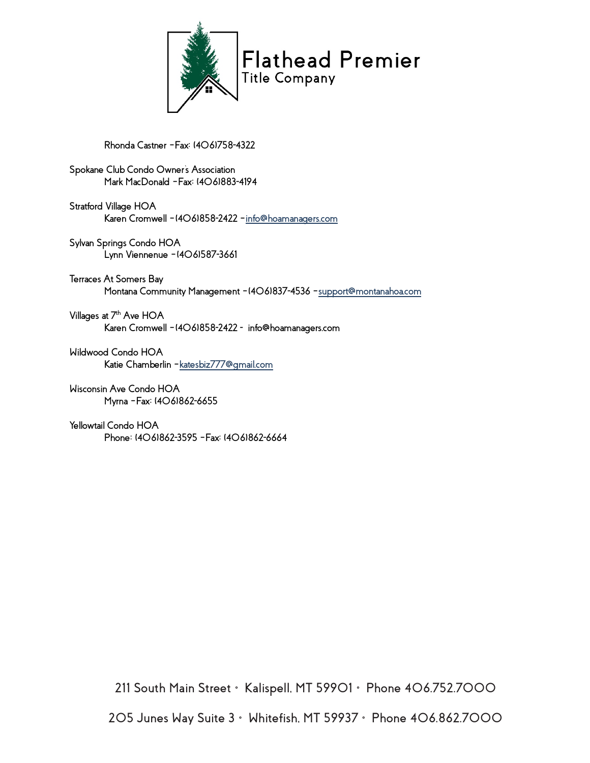

**Rhonda Castner –Fax: (406)758-4322**

**Spokane Club Condo Owner's Association Mark MacDonald –Fax: (406)883-4194**

**Stratford Village HOA Karen Cromwell –(406)858-2422 [–info@hoamanagers.com](mailto:info@hoamanagers.com)**

**Sylvan Springs Condo HOA Lynn Viennenue –(406)587-3661**

**Terraces At Somers Bay Montana Community Management –(406)837-4536 [–support@montanahoa.com](mailto:support@montanahoa.com)**

**Villages at 7th Ave HOA Karen Cromwell –(406)858-2422 - info@hoamanagers.com**

**Wildwood Condo HOA Katie Chamberlin [–katesbiz777@gmail.com](mailto:katesbiz777@gmail.com)**

**Wisconsin Ave Condo HOA Myrna –Fax: (406)862-6655**

**Yellowtail Condo HOA Phone: (406)862-3595 –Fax: (406)862-6664** 

**211 South Main Street • Kalispell, MT 59901 • Phone 406.752.7000**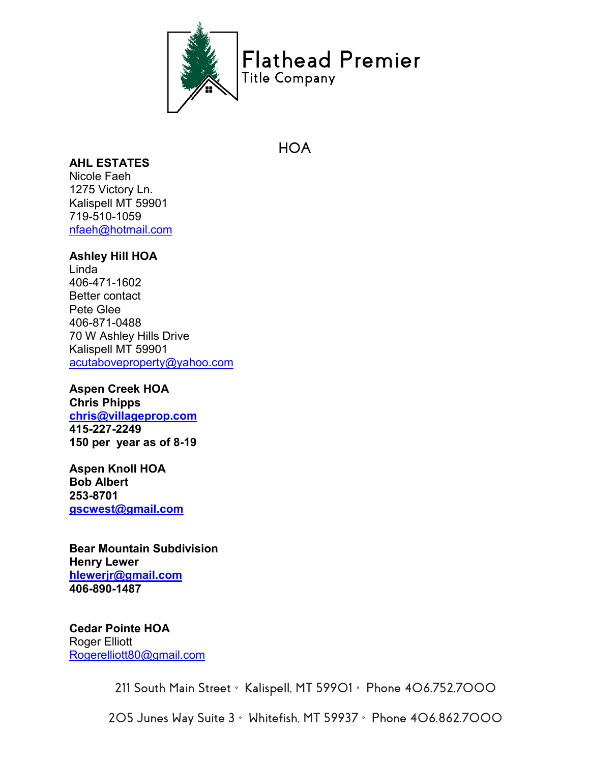

# **HOA**

# **AHL ESTATES**

Nicole Faeh 1275 Victory Ln. Kalispell MT 59901 719-510-1059 [nfaeh@hotmail.com](mailto:nfaeh@hotmail.com)

### **Ashley Hill HOA**

Linda 406-471-1602 Better contact Pete Glee 406-871-0488 70 W Ashley Hills Drive Kalispell MT 59901 [acutaboveproperty@yahoo.com](mailto:acutaboveproperty@yahoo.com)

**Aspen Creek HOA Chris Phipps [chris@villageprop.com](mailto:chris@villageprop.com) 415-227-2249 150 per year as of 8-19** 

**Aspen Knoll HOA Bob Albert 253-8701 [gscwest@gmail.com](mailto:gscwest@gmail.com)**

**Bear Mountain Subdivision Henry Lewer [hlewerjr@gmail.com](mailto:hlewerjr@gmail.com) 406-890-1487**

**Cedar Pointe HOA** Roger Elliott [Rogerelliott80@gmail.com](mailto:Rogerelliott80@gmail.com)

**211 South Main Street • Kalispell, MT 59901 • Phone 406.752.7000**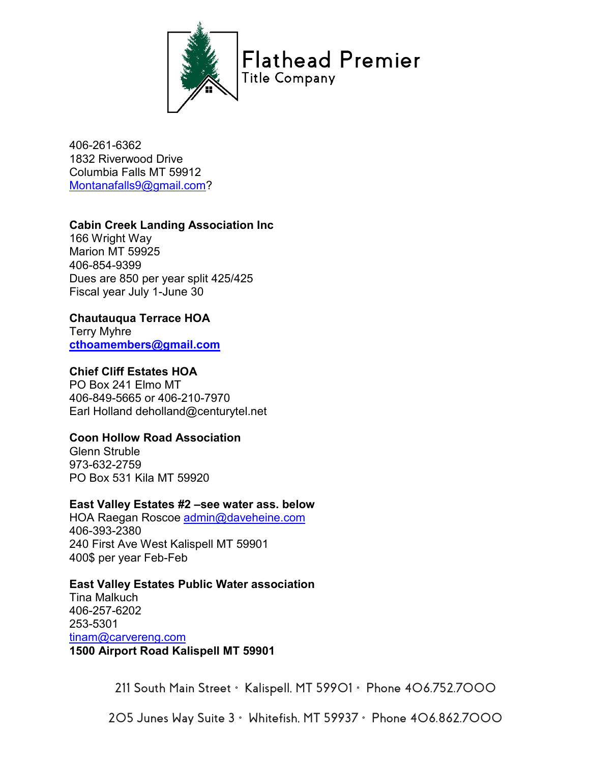

406-261-6362 1832 Riverwood Drive Columbia Falls MT 59912 [Montanafalls9@gmail.com?](mailto:Montanafalls9@gmail.com)

## **Cabin Creek Landing Association Inc**

166 Wright Way Marion MT 59925 406-854-9399 Dues are 850 per year split 425/425 Fiscal year July 1-June 30

#### **Chautauqua Terrace HOA**

Terry Myhre **[cthoamembers@gmail.com](mailto:cthoamembers@gmail.com)**

#### **Chief Cliff Estates HOA**

PO Box 241 Elmo MT 406-849-5665 or 406-210-7970 Earl Holland deholland@centurytel.net

## **Coon Hollow Road Association**

Glenn Struble 973-632-2759 PO Box 531 Kila MT 59920

#### **East Valley Estates #2 –see water ass. below**

HOA Raegan Roscoe [admin@daveheine.com](mailto:admin@daveheine.com) 406-393-2380 240 First Ave West Kalispell MT 59901 400\$ per year Feb-Feb

#### **East Valley Estates Public Water association**

Tina Malkuch 406-257-6202 253-5301 [tinam@carvereng.com](mailto:tinam@carvereng.com) **1500 Airport Road Kalispell MT 59901**

**211 South Main Street • Kalispell, MT 59901 • Phone 406.752.7000**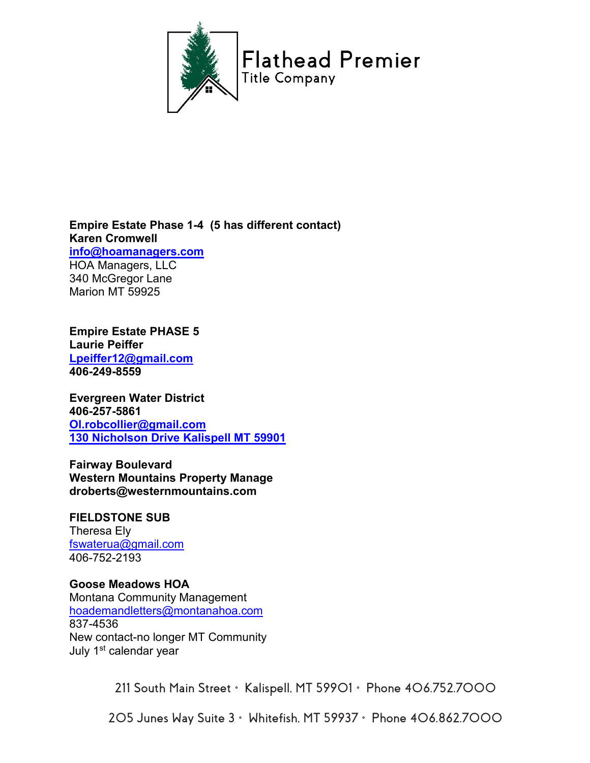

**Empire Estate Phase 1-4 (5 has different contact) Karen Cromwell [info@hoamanagers.com](mailto:info@hoamanagers.com)** HOA Managers, LLC 340 McGregor Lane Marion MT 59925

**Empire Estate PHASE 5 Laurie Peiffer [Lpeiffer12@gmail.com](mailto:Lpeiffer12@gmail.com) 406-249-8559**

**Evergreen Water District 406-257-5861 [Ol.robcollier@gmail.com](mailto:Ol.robcollier@gmail.com) 130 Nicholson Drive Kalispell MT 59901**

**Fairway Boulevard Western Mountains Property Manage droberts@westernmountains.com**

**FIELDSTONE SUB** Theresa Ely [fswaterua@gmail.com](mailto:fswaterua@gmail.com) 406-752-2193

**Goose Meadows HOA** Montana Community Management [hoademandletters@montanahoa.com](mailto:hoademandletters@montanahoa.com) 837-4536 New contact-no longer MT Community July 1<sup>st</sup> calendar year

**211 South Main Street • Kalispell, MT 59901 • Phone 406.752.7000**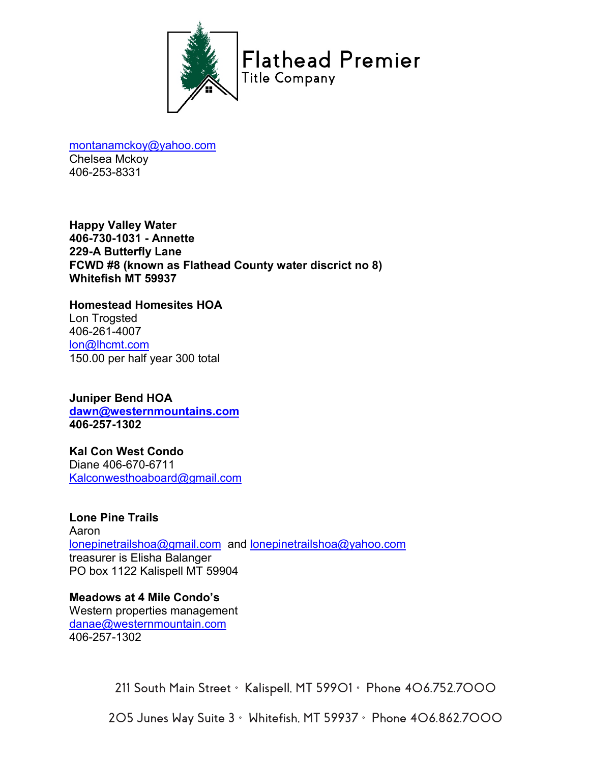

[montanamckoy@yahoo.com](mailto:montanamckoy@yahoo.com) Chelsea Mckoy 406-253-8331

**Happy Valley Water 406-730-1031 - Annette 229-A Butterfly Lane FCWD #8 (known as Flathead County water discrict no 8) Whitefish MT 59937**

**Homestead Homesites HOA** Lon Trogsted 406-261-4007 [lon@lhcmt.com](mailto:lon@lhcmt.com) 150.00 per half year 300 total

**Juniper Bend HOA [dawn@westernmountains.com](mailto:dawn@westernmountains.com) 406-257-1302**

**Kal Con West Condo** Diane 406-670-6711 [Kalconwesthoaboard@gmail.com](mailto:Kalconwesthoaboard@gmail.com)

**Lone Pine Trails** Aaron [lonepinetrailshoa@gmail.com](mailto:lonepinetrailshoa@gmail.com) and [lonepinetrailshoa@yahoo.com](mailto:lonepinetrailshoa@yahoo.com) treasurer is Elisha Balanger PO box 1122 Kalispell MT 59904

**Meadows at 4 Mile Condo's** Western properties management [danae@westernmountain.com](mailto:danae@westernmountain.com) 406-257-1302

**211 South Main Street • Kalispell, MT 59901 • Phone 406.752.7000**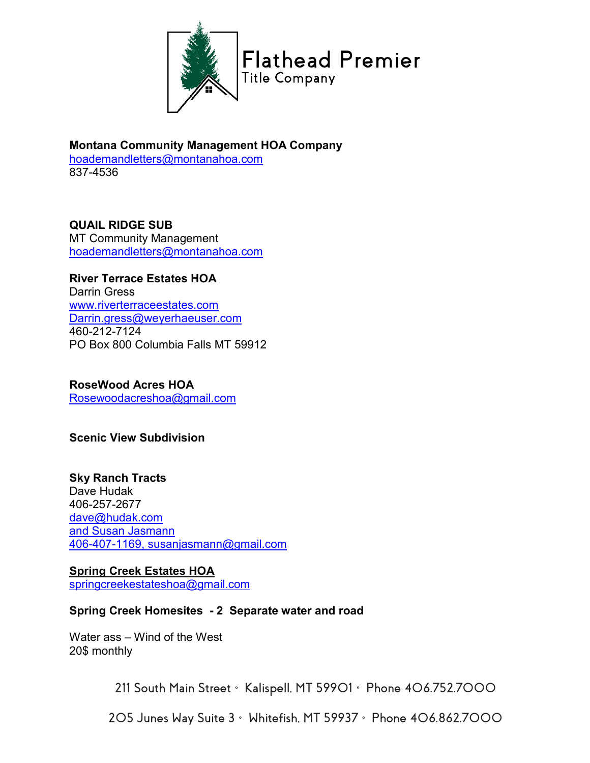

**Montana Community Management HOA Company** [hoademandletters@montanahoa.com](mailto:hoademandletters@montanahoa.com) 837-4536

# **QUAIL RIDGE SUB**

MT Community Management [hoademandletters@montanahoa.com](mailto:hoademandletters@montanahoa.com)

# **River Terrace Estates HOA**

Darrin Gress [www.riverterraceestates.com](http://www.riverterraceestates.com/) [Darrin.gress@weyerhaeuser.com](mailto:Darrin.gress@weyerhaeuser.com) 460-212-7124 PO Box 800 Columbia Falls MT 59912

# **RoseWood Acres HOA**

[Rosewoodacreshoa@gmail.com](mailto:Rosewoodacreshoa@gmail.com)

## **Scenic View Subdivision**

# **Sky Ranch Tracts**

Dave Hudak 406-257-2677 [dave@hudak.com](mailto:dave@hudak.com) and Susan Jasmann 406-407-1169, susanjasmann@gmail.com

## **Spring Creek Estates HOA** [springcreekestateshoa@gmail.com](mailto:springcreekestateshoa@gmail.com)

## **Spring Creek Homesites - 2 Separate water and road**

Water ass – Wind of the West 20\$ monthly

**211 South Main Street • Kalispell, MT 59901 • Phone 406.752.7000**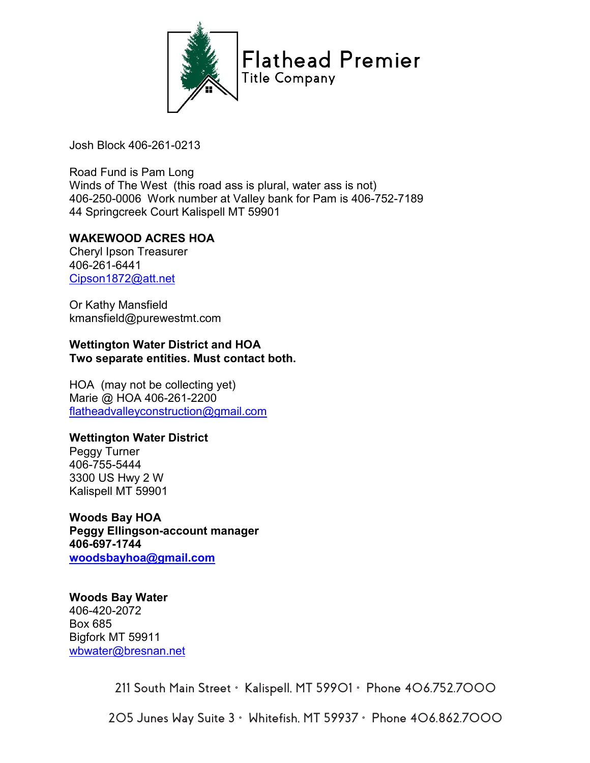

Josh Block 406-261-0213

Road Fund is Pam Long Winds of The West (this road ass is plural, water ass is not) 406-250-0006 Work number at Valley bank for Pam is 406-752-7189 44 Springcreek Court Kalispell MT 59901

## **WAKEWOOD ACRES HOA**

Cheryl Ipson Treasurer 406-261-6441 [Cipson1872@att.net](mailto:Cipson1872@att.net)

Or Kathy Mansfield kmansfield@purewestmt.com

**Wettington Water District and HOA Two separate entities. Must contact both.**

HOA (may not be collecting yet) Marie @ HOA 406-261-2200 [flatheadvalleyconstruction@gmail.com](mailto:flatheadvalleyconstruction@gmail.com)

## **Wettington Water District**

Peggy Turner 406-755-5444 3300 US Hwy 2 W Kalispell MT 59901

**Woods Bay HOA Peggy Ellingson-account manager 406-697-1744 [woodsbayhoa@gmail.com](mailto:woodsbayhoa@gmail.com)**

**Woods Bay Water**  406-420-2072 Box 685 Bigfork MT 59911 [wbwater@bresnan.net](mailto:wbwater@bresnan.net)

**211 South Main Street • Kalispell, MT 59901 • Phone 406.752.7000**